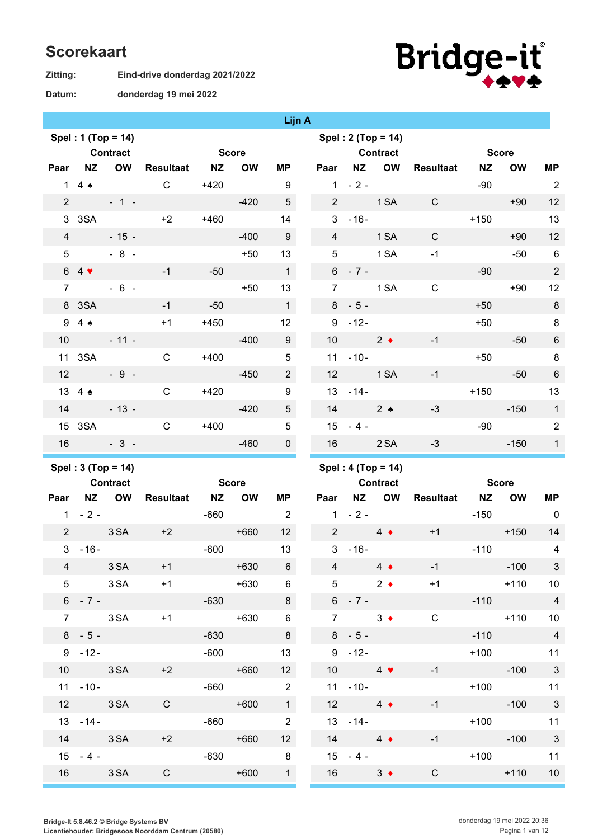## **Scorekaart**

| Zitting: |  |
|----------|--|
|----------|--|

**Datum:**

**donderdag 19 mei 2022**

**Eind-drive donderdag 2021/2022**



|                |                           |                    |                        |                  |                  | Lijn A                             |                 |                      |                      |                                          |           |           |                            |
|----------------|---------------------------|--------------------|------------------------|------------------|------------------|------------------------------------|-----------------|----------------------|----------------------|------------------------------------------|-----------|-----------|----------------------------|
|                |                           | Spel: 1 (Top = 14) |                        |                  |                  |                                    |                 |                      | Spel: $2 (Top = 14)$ |                                          |           |           |                            |
|                |                           | <b>Contract</b>    |                        | <b>Score</b>     |                  |                                    |                 |                      | <b>Contract</b>      | <b>Score</b> Score                       |           |           |                            |
| Paar           | <b>NZ</b>                 |                    | OW Resultaat NZ        |                  | <b>OW</b>        | ΜP                                 | Paar            | <b>NZ</b>            | OW                   | <b>Resultaat</b>                         | <b>NZ</b> | <b>OW</b> | <b>MP</b>                  |
|                | $1\quad 4\quad \bullet$   |                    | $\mathsf{C}$           | $+420$           |                  | 9                                  |                 | $1 - 2 -$            |                      |                                          | $-90$     |           | $\overline{2}$             |
| $2^{\circ}$    |                           | $-1 -$             |                        |                  | $-420$           | $5\phantom{.0}$                    | 2 <sup>1</sup>  |                      | 1 SA                 | $\mathsf{C}$                             |           | $+90$     | 12                         |
|                | 3 3SA                     |                    | $+2$                   | $+460$           |                  | 14                                 |                 | $3 - 16 -$           |                      |                                          | $+150$    |           | 13                         |
| $\overline{4}$ |                           | $-15 -$            |                        |                  | $-400$           | 9                                  | $\overline{4}$  |                      | 1 <sub>SA</sub>      | $\mathsf{C}$                             |           | $+90$     | 12                         |
| 5 <sup>5</sup> |                           | $-8 -$             |                        |                  | $+50$            | 13                                 | 5 <sup>5</sup>  |                      | 1 SA                 | $-1$                                     |           | $-50$     | 6                          |
|                | $64$ $\blacktriangledown$ |                    | $-1$                   | $-50$            |                  | $\mathbf{1}$                       |                 | $6 - 7 -$            |                      |                                          | $-90$     |           | $\overline{2}$             |
| $\overline{7}$ |                           | $-6 -$             |                        |                  | $+50$            | 13                                 | $7^{\circ}$     |                      | 1 SA                 | $\mathbf C$                              |           | $+90$     | 12                         |
|                | 8 3SA                     |                    | $-1$                   | $-50$            |                  | $\mathbf{1}$                       |                 | $8 - 5 -$            |                      |                                          | $+50$     |           | 8                          |
|                | $94 \spadesuit$           |                    | $+1$                   | $+450$           |                  | 12 <sup>2</sup>                    |                 | $9 - 12 -$           |                      |                                          | $+50$     |           | $\, 8$                     |
|                |                           | $10 - 11 -$        |                        |                  | $-400$           | 9                                  | 10 <sup>°</sup> | $2 \bullet$          |                      | $-1$                                     |           | $-50$     | $\,6\,$                    |
|                | 11 3SA                    |                    | $\mathsf{C}$           | $+400$           |                  | $\sqrt{5}$                         | 11              | $-10-$               |                      |                                          | $+50$     |           | $\, 8$                     |
| 12             |                           | $-9 -$             |                        |                  | $-450$           | $\overline{2}$                     | 12              | 1 SA                 |                      | $-1$                                     |           | $-50$     | $\,6$                      |
|                | 13 4 $\bullet$            |                    | $\mathsf{C}$           | $+420$           |                  | $\boldsymbol{9}$                   |                 | $13 - 14 -$          |                      |                                          | $+150$    |           | 13                         |
| 14             |                           | $-13 -$            |                        |                  | $-420$           | 5                                  | 14              |                      | $2 \triangle$        | $-3$                                     |           | $-150$    | $\mathbf{1}$               |
|                |                           | 15 3SA             | $\mathsf{C}$           | $+400$           |                  | $\overline{5}$                     |                 | $15 - 4 -$           |                      |                                          | $-90$     |           | $\overline{2}$             |
| 16             |                           | $-3-$              |                        |                  | $-460$           | $\mathbf 0$                        | 16              |                      | 2 SA                 | $-3$                                     |           | $-150$    | $\overline{1}$             |
|                |                           |                    |                        |                  |                  |                                    |                 |                      |                      |                                          |           |           |                            |
|                |                           |                    |                        |                  |                  |                                    |                 |                      |                      |                                          |           |           |                            |
|                |                           | Spel: 3 (Top = 14) |                        |                  |                  |                                    |                 |                      | Spel: 4 (Top = 14)   |                                          |           |           |                            |
|                | <b>Contract</b>           |                    |                        | <b>Score</b>     |                  |                                    |                 | <b>Contract</b>      |                      | <b>Score</b>                             |           |           |                            |
|                |                           | Paar NZ OW         | Resultaat NZ           |                  | <b>OW</b>        | MР                                 |                 |                      | Paar NZ OW           | <b>Resultaat NZ</b>                      |           | <b>OW</b> | MP                         |
|                | $1 - 2 -$                 |                    |                        | -660             |                  | $\overline{\phantom{0}}$           |                 | $1 - 2 -$            |                      | $+1$                                     | $-150$    |           | $\overline{0}$<br>14       |
| $\mathbf{3}$   | $-16-$                    | 2 3 SA +2          |                        | $-600$           | $+660$           | 12 <sup>7</sup><br>13              |                 | $3 - 16 -$           | 2 $4 \bullet$        |                                          | $-110$    | $+150$    | 4                          |
|                |                           |                    |                        |                  |                  |                                    |                 |                      |                      |                                          |           | $-100$    | $\mathbf{3}$               |
|                |                           | 5 3 SA             | $4$ $3SA$ $+1$<br>$+1$ |                  | $+630$<br>$+630$ | $6\overline{6}$<br>$6\phantom{.}6$ |                 | $5 \t 2 \t 4$        |                      | $4 \rightarrow 4 \rightarrow -1$<br>$+1$ |           | $+110$    | 10                         |
|                |                           | $6 - 7 -$          |                        |                  | $-630$           | 8                                  |                 | $6 - 7 -$            |                      |                                          |           | $-110$    | $\overline{4}$             |
|                |                           | 7 3 SA             |                        | $+1$             | $+630$           | $6\overline{6}$                    |                 |                      | $7 \qquad 3 \bullet$ | $\mathsf{C}$                             |           | $+110$    | 10                         |
|                | $8 - 5 -$                 |                    |                        |                  |                  | 8                                  |                 | $8 - 5 -$            |                      |                                          | $-110$    |           | $\overline{4}$             |
|                | $9 - 12 -$                |                    |                        | $-630$<br>$-600$ |                  | 13                                 |                 | $9 - 12 -$           |                      |                                          | $+100$    |           | 11                         |
|                |                           | 10 3 SA            | $+2$                   |                  | $+660$           | 12                                 |                 | 10 $4$ $\bullet$     |                      | $-1$                                     | $-100$    |           | $\overline{\phantom{a}}$ 3 |
|                |                           | $11 - 10 -$        |                        |                  | $-660$           | $\overline{\phantom{a}}$           |                 | $11 - 10 -$          |                      |                                          |           | $+100$    | 11                         |
|                | 12 3 SA                   |                    | $\mathsf{C}$           |                  | $+600$           | $\overline{1}$                     |                 | 12 $4 \bullet$       |                      | $-1$                                     |           | $-100$    | $\overline{\phantom{a}}$ 3 |
|                | $13 - 14 -$               |                    |                        | $-660$           |                  | $\overline{\phantom{a}}$           |                 | $13 - 14 -$          |                      |                                          |           | $+100$    | 11                         |
|                | 14 3 SA                   |                    | $+2$                   |                  | $+660$           | 12                                 |                 | $14 \quad 4 \bullet$ |                      | $-1$                                     | $-100$    |           | $\overline{\phantom{a}}$ 3 |
|                | $15 - 4 -$                |                    |                        |                  | $-630$           | 8                                  |                 | $15 - 4 -$           |                      |                                          |           | $+100$    | 11                         |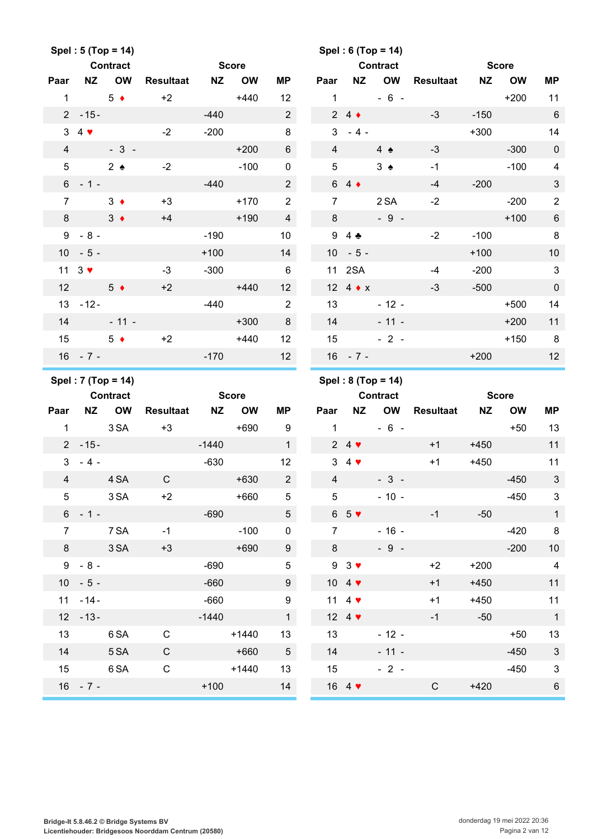|                 | Spel: 5 (Top = 14)          |                                       |                  |           |              |                 |                |                            | Spel: 6 (Top = 14)                    |                  |           |              |                         |
|-----------------|-----------------------------|---------------------------------------|------------------|-----------|--------------|-----------------|----------------|----------------------------|---------------------------------------|------------------|-----------|--------------|-------------------------|
|                 |                             | <b>Contract</b>                       |                  |           | <b>Score</b> |                 |                |                            | <b>Contract</b>                       |                  |           | <b>Score</b> |                         |
| Paar            | <b>NZ</b>                   | <b>OW</b>                             | <b>Resultaat</b> | <b>NZ</b> | <b>OW</b>    | <b>MP</b>       | Paar           | <b>NZ</b>                  | <b>OW</b>                             | <b>Resultaat</b> | <b>NZ</b> | <b>OW</b>    | <b>MP</b>               |
| $\mathbf{1}$    |                             | $5 \bullet$                           | $+2$             |           | $+440$       | 12              | $\mathbf{1}$   |                            | $-6 -$                                |                  |           | $+200$       | 11                      |
|                 | $2 - 15 -$                  |                                       |                  | $-440$    |              | $2^{\circ}$     |                | $24 \div$                  |                                       | $-3$             | $-150$    |              | $6\phantom{1}6$         |
|                 | $3\quad 4$                  |                                       | $-2$             | $-200$    |              | 8               | 3              | $-4-$                      |                                       |                  | $+300$    |              | 14                      |
| $\overline{4}$  |                             | $-3-$                                 |                  |           | $+200$       | $6\phantom{.}$  | $\overline{4}$ |                            | $4 \triangle$                         | $-3$             |           | $-300$       | $\mathbf 0$             |
| $5\phantom{.0}$ |                             | $2 \triangle$                         | $-2$             |           | $-100$       | 0               | $\overline{5}$ |                            | $3 \triangle$                         | $-1$             |           | $-100$       | 4                       |
|                 | $6 - 1 -$                   |                                       |                  | $-440$    |              | $\overline{2}$  |                | $64 \div$                  |                                       | $-4$             | $-200$    |              | 3                       |
| $\overline{7}$  |                             | $3 \bullet$                           | $+3$             |           | $+170$       | $\overline{2}$  | $\overline{7}$ |                            | 2 SA                                  | $-2$             |           | $-200$       | $\overline{\mathbf{c}}$ |
| 8               |                             | $3 \bullet$                           | $+4$             |           | $+190$       | $\overline{4}$  | 8              |                            | $-9 -$                                |                  |           | $+100$       | $\boldsymbol{6}$        |
|                 | $9 - 8 -$                   |                                       |                  | $-190$    |              | 10              | 9              | $4$ $\clubsuit$            |                                       | $-2$             | $-100$    |              | 8                       |
|                 | $10 - 5 -$                  |                                       |                  | $+100$    |              | 14              | 10             | $-5-$                      |                                       |                  | $+100$    |              | 10                      |
|                 | 11 $3$ $\blacktriangledown$ |                                       | $-3$             | $-300$    |              | 6               | 11             | 2SA                        |                                       | $-4$             | $-200$    |              | 3                       |
| 12              |                             | $5 \bullet$                           | $+2$             |           | $+440$       | 12              |                | 12 4 $\star$ x             |                                       | $-3$             | $-500$    |              | $\mathbf 0$             |
|                 | $13 - 12 -$                 |                                       |                  | $-440$    |              | $\overline{2}$  | 13             |                            | $-12 -$                               |                  |           | $+500$       | 14                      |
| 14              |                             | $-11 -$                               |                  |           | $+300$       | 8               | 14             |                            | $-11 -$                               |                  |           | $+200$       | 11                      |
| 15              |                             | $5 \bullet$                           | $+2$             |           | $+440$       | 12              | 15             |                            | $-2-$                                 |                  |           | $+150$       | 8                       |
|                 | $16 - 7 -$                  |                                       |                  | $-170$    |              | 12              |                | $16 - 7 -$                 |                                       |                  | $+200$    |              | 12                      |
|                 |                             |                                       |                  |           |              |                 |                |                            |                                       |                  |           |              |                         |
|                 |                             |                                       |                  |           |              |                 |                |                            |                                       |                  |           |              |                         |
|                 |                             | Spel: 7 (Top = 14)<br><b>Contract</b> |                  |           | <b>Score</b> |                 |                |                            | Spel: 8 (Top = 14)<br><b>Contract</b> |                  |           | <b>Score</b> |                         |
| Paar            | <b>NZ</b>                   | <b>OW</b>                             | <b>Resultaat</b> | NZ        | <b>OW</b>    | <b>MP</b>       | Paar           | <b>NZ</b>                  | OW                                    | <b>Resultaat</b> | <b>NZ</b> | <b>OW</b>    | <b>MP</b>               |
| $\mathbf{1}$    |                             | 3 SA                                  | $+3$             |           | $+690$       | 9               | $\mathbf{1}$   |                            | $-6 -$                                |                  |           | $+50$        | 13                      |
|                 | $2 - 15 -$                  |                                       |                  | $-1440$   |              | $\mathbf{1}$    |                | $24$ $\blacktriangledown$  |                                       | $+1$             | $+450$    |              | 11                      |
| 3 <sup>1</sup>  | $-4-$                       |                                       |                  | $-630$    |              | 12              |                | $34$ $\blacktriangleright$ |                                       | $+1$             | $+450$    |              | 11                      |
| $\overline{4}$  |                             | 4 SA                                  | $\mathsf C$      |           | $+630$       | $\overline{2}$  | $\overline{4}$ |                            | $-3-$                                 |                  |           | $-450$       | 3                       |
| 5 <sup>5</sup>  |                             | 3 SA                                  | $+2$             |           | $+660$       | 5               | 5              |                            | $-10 -$                               |                  |           | $-450$       | 3                       |
|                 | $6 - 1 -$                   |                                       |                  | $-690$    |              | 5 <sup>5</sup>  |                | $65$ $\blacktriangledown$  |                                       | $-1$             | $-50$     |              | $\mathbf{1}$            |
| $\overline{7}$  |                             | 7 SA                                  | $-1$             |           | $-100$       | 0               | $\overline{7}$ |                            | $-16 -$                               |                  |           | $-420$       | 8                       |
| 8               |                             | 3 SA                                  | $+3$             |           | $+690$       | 9               | 8              |                            | $-9 -$                                |                  |           | $-200$       | 10                      |
|                 | $9 - 8 -$                   |                                       |                  | $-690$    |              | $5\,$           |                | $93$ $\blacktriangleright$ |                                       | $+2$             | $+200$    |              | $\overline{4}$          |
|                 | $10 - 5 -$                  |                                       |                  | $-660$    |              | 9               |                | 10 4 $\blacktriangledown$  |                                       | $+1$             | $+450$    |              | 11                      |
|                 | $11 - 14 -$                 |                                       |                  | $-660$    |              | 9               |                | 11 4 $\blacktriangledown$  |                                       | $+1$             | $+450$    |              | 11                      |
|                 | $12 - 13 -$                 |                                       |                  | $-1440$   |              | $\mathbf{1}$    |                | 12 4 $\blacktriangledown$  |                                       | $-1$             | $-50$     |              | $\overline{\mathbf{1}}$ |
| 13              |                             | 6 SA                                  | $\mathbf C$      |           | $+1440$      | 13              | 13             |                            | $-12 -$                               |                  |           | $+50$        | 13                      |
| 14              |                             | 5 SA                                  | ${\bf C}$        |           | $+660$       | $5\phantom{.0}$ | 14             |                            | $-11 -$                               |                  |           | $-450$       | $\mathbf{3}$            |
| 15              |                             | 6 SA                                  | $\mathsf C$      |           | $+1440$      | 13              | 15             |                            | $-2 -$                                |                  |           | $-450$       | $\mathbf{3}$            |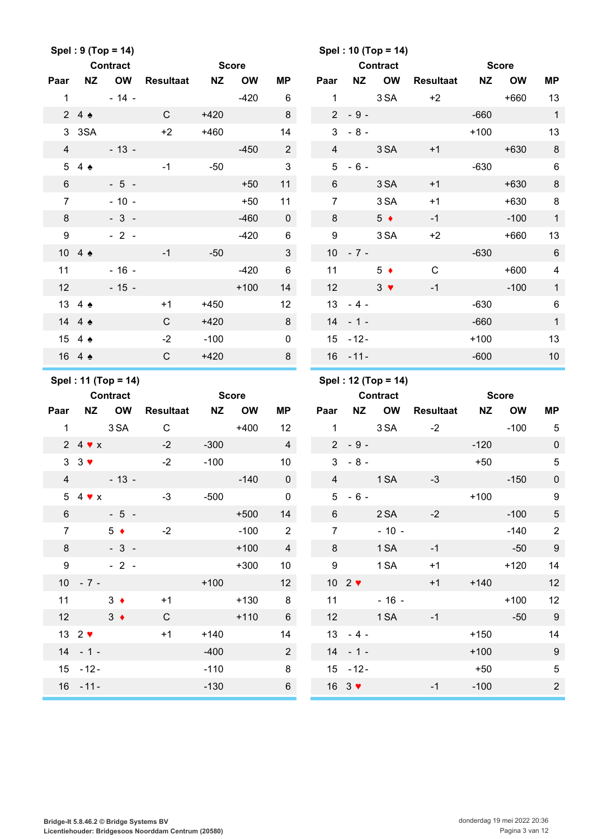|                 |                            | Spel: 9 (Top = 14)  |                  |           |              |                 |                  |                             | Spel: 10 (Top = 14) |                  |           |              |                  |
|-----------------|----------------------------|---------------------|------------------|-----------|--------------|-----------------|------------------|-----------------------------|---------------------|------------------|-----------|--------------|------------------|
|                 |                            | <b>Contract</b>     |                  |           | <b>Score</b> |                 |                  |                             | <b>Contract</b>     |                  |           | <b>Score</b> |                  |
| Paar            | <b>NZ</b>                  | <b>OW</b>           | <b>Resultaat</b> | <b>NZ</b> | <b>OW</b>    | <b>MP</b>       | Paar             | <b>NZ</b>                   | <b>OW</b>           | <b>Resultaat</b> | <b>NZ</b> | <b>OW</b>    | <b>MP</b>        |
| $\mathbf{1}$    |                            | $-14 -$             |                  |           | $-420$       | 6               | $\mathbf{1}$     |                             | 3 SA                | $+2$             |           | $+660$       | 13               |
|                 | 24                         |                     | $\mathsf{C}$     | $+420$    |              | 8               | $\overline{2}$   | $-9-$                       |                     |                  | $-660$    |              | $\mathbf{1}$     |
| 3               | 3SA                        |                     | $+2$             | $+460$    |              | 14              | 3                | $-8-$                       |                     |                  | $+100$    |              | 13               |
| $\overline{4}$  |                            | $-13 -$             |                  |           | $-450$       | $\overline{2}$  | $\overline{4}$   |                             | 3 SA                | $+1$             |           | $+630$       | $\bf 8$          |
| 5               | 4 $\triangle$              |                     | $-1$             | $-50$     |              | $\mathfrak{S}$  | 5                | $-6-$                       |                     |                  | $-630$    |              | $\,6$            |
| $6\phantom{1}$  |                            | $-5 -$              |                  |           | $+50$        | 11              | $6\phantom{1}$   |                             | 3 SA                | $+1$             |           | $+630$       | $\bf 8$          |
| $\overline{7}$  |                            | $-10 -$             |                  |           | $+50$        | 11              | $\overline{7}$   |                             | 3 SA                | $+1$             |           | $+630$       | $\bf 8$          |
| 8               |                            | $-3-$               |                  |           | $-460$       | $\mathbf 0$     | 8                |                             | $5 \bullet$         | $-1$             |           | $-100$       | $\mathbf{1}$     |
| 9               |                            | $-2-$               |                  |           | $-420$       | 6               | $\boldsymbol{9}$ |                             | 3 SA                | $+2$             |           | $+660$       | 13               |
|                 | 10 4 $\triangle$           |                     | $-1$             | $-50$     |              | $\mathfrak{S}$  | 10 <sup>1</sup>  | $-7 -$                      |                     |                  | $-630$    |              | $\,6\,$          |
| 11              |                            | $-16 -$             |                  |           | $-420$       | $\,6$           | 11               |                             | $5 \bullet$         | $\mathbf C$      |           | $+600$       | 4                |
| 12              |                            | $-15 -$             |                  |           | $+100$       | 14              | 12               |                             | $3 \bullet$         | $-1$             |           | $-100$       | $\mathbf{1}$     |
|                 | 13 4 4                     |                     | $+1$             | $+450$    |              | 12              |                  | $13 - 4 -$                  |                     |                  | $-630$    |              | $\,6\,$          |
|                 | 14 4 $\triangle$           |                     | $\mathsf{C}$     | $+420$    |              | 8               |                  | $14 - 1 -$                  |                     |                  | $-660$    |              | $\mathbf{1}$     |
|                 | 15 4 4                     |                     | $-2$             | $-100$    |              | $\mathbf 0$     |                  | $15 - 12 -$                 |                     |                  | $+100$    |              | 13               |
|                 | 16 4 4                     |                     | $\mathsf{C}$     | $+420$    |              | 8               |                  | $16 - 11 -$                 |                     |                  | $-600$    |              | 10               |
|                 |                            | Spel: 11 (Top = 14) |                  |           |              |                 |                  |                             | Spel: 12 (Top = 14) |                  |           |              |                  |
|                 |                            | <b>Contract</b>     |                  |           | <b>Score</b> |                 |                  |                             | <b>Contract</b>     |                  |           | <b>Score</b> |                  |
| Paar            | <b>NZ</b>                  | <b>OW</b>           | <b>Resultaat</b> | <b>NZ</b> | <b>OW</b>    | <b>MP</b>       | Paar             | ΝZ                          | OW                  | <b>Resultaat</b> | <b>NZ</b> | <b>OW</b>    | <b>MP</b>        |
| $\mathbf{1}$    |                            | 3 SA                | $\mathsf C$      |           | $+400$       | 12              | $\mathbf{1}$     |                             | 3 SA                | $-2$             |           | $-100$       | 5                |
|                 | 2 4 $\blacktriangledown$ x |                     | $-2$             | $-300$    |              | $\overline{4}$  |                  | $2 - 9 -$                   |                     |                  | $-120$    |              | $\mathbf 0$      |
| $\mathbf{3}$    | $3 \vee$                   |                     | $-2$             | $-100$    |              | 10              |                  | $3 - 8 -$                   |                     |                  | $+50$     |              | $\sqrt{5}$       |
| $\overline{4}$  |                            | $-13 -$             |                  |           | $-140$       | $\pmb{0}$       | $\overline{4}$   |                             | 1 SA                | $-3$             |           | $-150$       | $\pmb{0}$        |
|                 | 5 4 $\bullet$ x            |                     | $-3$             | $-500$    |              | $\pmb{0}$       |                  | $5 - 6 -$                   |                     |                  | $+100$    |              | $9\,$            |
| $6\overline{6}$ |                            | $-5 -$              |                  |           | $+500$       | 14              | $6\phantom{a}$   |                             | 2 SA                | $-2$             |           | $-100$       | $\sqrt{5}$       |
| $\overline{7}$  |                            | $5 +$               | $-2$             |           | $-100$       | $\overline{2}$  | $\overline{7}$   |                             | $-10 -$             |                  |           | $-140$       | $\sqrt{2}$       |
| $8\phantom{1}$  |                            | $-3-$               |                  |           | $+100$       | $\overline{4}$  | 8                |                             | 1 SA                | $-1$             |           | $-50$        | $9\,$            |
| 9               |                            | $-2-$               |                  |           | $+300$       | 10              | $\boldsymbol{9}$ |                             | 1 SA                | $+1$             |           | $+120$       | 14               |
|                 | $10 - 7 -$                 |                     |                  | $+100$    |              | 12              |                  | 10 $2$ $\blacktriangledown$ |                     | $+1$             | $+140$    |              | 12               |
|                 | 11                         | $3 +$               | $+1$             |           | $+130$       | 8               | 11               |                             | $-16 -$             |                  |           | $+100$       | 12               |
|                 | 12                         | $3 +$               | $\mathsf{C}$     |           | $+110$       | $6\phantom{.}6$ |                  | 12                          | 1 SA                | $-1$             |           | $-50$        | 9                |
|                 | 13 $2 \blacktriangledown$  |                     | $+1$             | $+140$    |              | 14              |                  | $13 - 4 -$                  |                     |                  | $+150$    |              | 14               |
|                 | $14 - 1 -$                 |                     |                  | $-400$    |              | $2^{\circ}$     |                  | $14 - 1 -$                  |                     |                  | $+100$    |              | $\boldsymbol{9}$ |
|                 | $15 - 12 -$                |                     |                  | $-110$    |              | 8               |                  | $15 - 12 -$                 |                     |                  | $+50$     |              | $\sqrt{5}$       |
|                 | $16 - 11 -$                |                     |                  |           |              |                 |                  |                             |                     |                  |           |              |                  |
|                 |                            |                     |                  |           |              |                 |                  |                             |                     |                  |           |              |                  |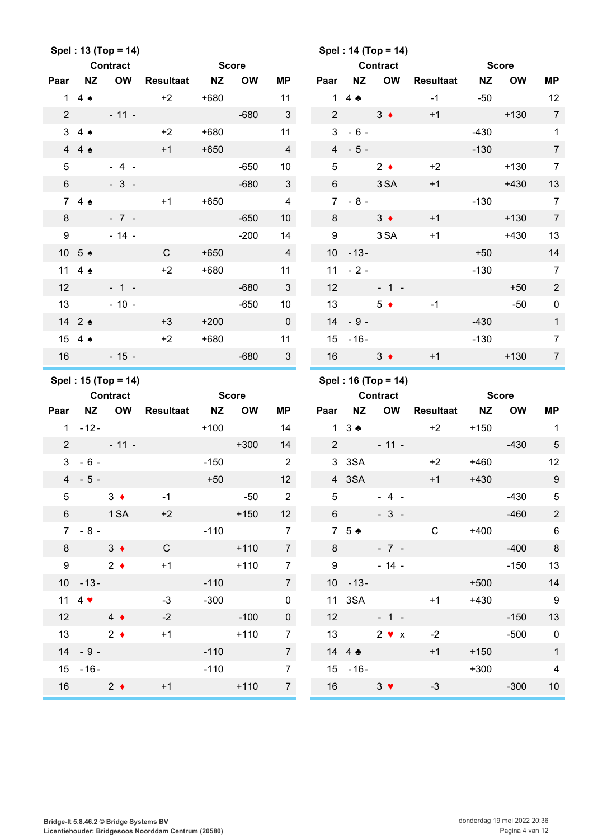|                 |                           | Spel: 13 (Top = 14) |                  |              |              |                 |                 |                                | Spel: 14 (Top = 14) |                  |           |              |                  |
|-----------------|---------------------------|---------------------|------------------|--------------|--------------|-----------------|-----------------|--------------------------------|---------------------|------------------|-----------|--------------|------------------|
|                 |                           | <b>Contract</b>     |                  | <b>Score</b> |              |                 |                 |                                | <b>Contract</b>     |                  |           | <b>Score</b> |                  |
| Paar            | <b>NZ</b>                 | <b>OW</b>           | <b>Resultaat</b> | <b>NZ</b>    | <b>OW</b>    | ΜP              | Paar            | <b>NZ</b>                      | <b>OW</b>           | <b>Resultaat</b> | <b>NZ</b> | <b>OW</b>    | MP               |
|                 | 1 4 $\bullet$             |                     | $+2$             | $+680$       |              | 11              |                 | 1 4 $\bullet$                  |                     | $-1$             | $-50$     |              | 12               |
| $\overline{2}$  |                           | $-11 -$             |                  |              | $-680$       | $\mathbf{3}$    | $\overline{2}$  |                                | $3 \bullet$         | $+1$             |           | $+130$       | $\overline{7}$   |
| 3               | $4 \triangle$             |                     | $+2$             | $+680$       |              | 11              | 3               | $-6-$                          |                     |                  | $-430$    |              | $\mathbf{1}$     |
| $\overline{4}$  | $4 \triangle$             |                     | $+1$             | $+650$       |              | $\overline{4}$  |                 | $4 - 5 -$                      |                     |                  | $-130$    |              | $\overline{7}$   |
| $5\phantom{.0}$ |                           | $-4 -$              |                  |              | $-650$       | 10              | 5               |                                | $2 \bullet$         | $+2$             |           | $+130$       | $\overline{7}$   |
| $6\phantom{1}$  |                           | $-3 -$              |                  |              | $-680$       | 3               | 6               |                                | 3 SA                | $+1$             |           | $+430$       | 13               |
|                 | 74                        |                     | $+1$             | $+650$       |              | $\overline{4}$  | $7^{\circ}$     | $-8-$                          |                     |                  | $-130$    |              | $\overline{7}$   |
| 8               |                           | $-7 -$              |                  |              | $-650$       | 10 <sup>°</sup> | 8               |                                | $3 \bullet$         | $+1$             |           | $+130$       | $\overline{7}$   |
| 9               |                           | $-14 -$             |                  |              | $-200$       | 14              | 9               |                                | 3 SA                | $+1$             |           | $+430$       | 13               |
|                 | 10 5 ♦                    |                     | $\mathsf{C}$     | $+650$       |              | $\overline{4}$  | 10 <sup>°</sup> | $-13-$                         |                     |                  | $+50$     |              | 14               |
| 11              | $4 \triangle$             |                     | $+2$             | $+680$       |              | 11              | 11              | $-2-$                          |                     |                  | $-130$    |              | $\overline{7}$   |
| 12              |                           | $-1 -$              |                  |              | $-680$       | $\mathbf{3}$    | 12              |                                | $-1 -$              |                  |           | $+50$        | $\overline{2}$   |
| 13              |                           | $-10 -$             |                  |              | $-650$       | 10              | 13              |                                | $5 \bullet$         | $-1$             |           | $-50$        | $\mathsf 0$      |
|                 | 14 2 ♦                    |                     | $+3$             | $+200$       |              | $\mathbf 0$     |                 | $14 - 9 -$                     |                     |                  | $-430$    |              | $\mathbf{1}$     |
|                 | 15 4 ♠                    |                     | $+2$             | $+680$       |              | 11              |                 | $15 - 16 -$                    |                     |                  | $-130$    |              | $\overline{7}$   |
| 16              |                           | $-15 -$             |                  |              | $-680$       | $\mathbf{3}$    | 16              |                                | $3 \bullet$         | $+1$             |           | $+130$       | $\overline{7}$   |
|                 |                           |                     |                  |              |              |                 |                 |                                |                     |                  |           |              |                  |
|                 |                           | Spel: 15 (Top = 14) |                  |              |              |                 |                 |                                | Spel: 16 (Top = 14) |                  |           |              |                  |
|                 |                           | Contract            |                  |              | <b>Score</b> |                 |                 |                                | <b>Contract</b>     |                  |           | <b>Score</b> |                  |
| Paar            | <b>NZ</b>                 | OW                  | <b>Resultaat</b> | NZ           | <b>OW</b>    | ΜP              | Paar            | <b>NZ</b>                      | OW                  | <b>Resultaat</b> | <b>NZ</b> | <b>OW</b>    | <b>MP</b>        |
|                 | $1 - 12 -$                |                     |                  | $+100$       |              | 14              |                 | $1 \quad 3 \div$               |                     | $+2$             | $+150$    |              | $\overline{1}$   |
| $2^{\circ}$     |                           | $-11 -$             |                  |              | $+300$       | 14              |                 | $2 \left( \frac{1}{2} \right)$ | $-11 -$             |                  |           | $-430$       | $\sqrt{5}$       |
| $\mathbf{3}$    | $-6-$                     |                     |                  | $-150$       |              | $\overline{2}$  |                 | 3 3SA                          |                     | $+2$             | $+460$    |              | 12               |
|                 | $4 - 5 -$                 |                     |                  | $+50$        |              | 12              |                 | 4 3SA                          |                     | $+1$             | $+430$    |              | $\boldsymbol{9}$ |
| $5\phantom{.0}$ |                           | $3 \bullet$         | $-1$             |              | $-50$        | $\overline{2}$  | 5               |                                | $-4 -$              |                  |           | $-430$       | $\overline{5}$   |
| $6\overline{6}$ |                           | 1 SA                | $+2$             |              | $+150$       | 12 <sup>2</sup> | $6\phantom{.}$  |                                | $-3 -$              |                  |           | $-460$       | $\overline{2}$   |
|                 | $7 - 8 -$                 |                     |                  | $-110$       |              | $\overline{7}$  |                 | 7 5 ♣                          |                     | $\mathsf{C}$     | $+400$    |              | $6\phantom{.}6$  |
| 8               |                           | $3 +$               | $\mathsf{C}$     |              | $+110$       | $\overline{7}$  | 8               |                                | $-7 -$              |                  |           | $-400$       | $\bf{8}$         |
| 9               |                           | $2 \bullet$         | $+1$             |              | $+110$       | $\overline{7}$  | 9               |                                | $-14 -$             |                  |           | $-150$       | 13               |
|                 | $10 - 13 -$               |                     |                  | $-110$       |              | 7 <sup>7</sup>  |                 | $10 - 13 -$                    |                     |                  | $+500$    |              | 14               |
|                 | 11 4 $\blacktriangledown$ |                     | $-3$             | $-300$       |              | $\pmb{0}$       |                 | 11 3SA                         |                     | $+1$             | $+430$    |              | $9\,$            |
| 12              | $4 \bullet$               |                     | $-2$             |              | $-100$       | $\mathbf 0$     | 12              |                                | $-1 -$              |                  |           | $-150$       | 13               |
|                 | 13                        | $2 \bullet$         | $+1$             |              | $+110$       | $\overline{7}$  |                 | 13                             | $2 \times x$        | $-2$             |           | $-500$       | $\mathbf 0$      |
|                 | $14 - 9 -$                |                     |                  | $-110$       |              | $\overline{7}$  |                 | 14 4 $\clubsuit$               |                     | $+1$             | $+150$    |              | $\mathbf{1}$     |
|                 | $15 - 16 -$               |                     |                  | $-110$       |              | $\overline{7}$  |                 | $15 - 16 -$                    |                     |                  | $+300$    |              | $\overline{4}$   |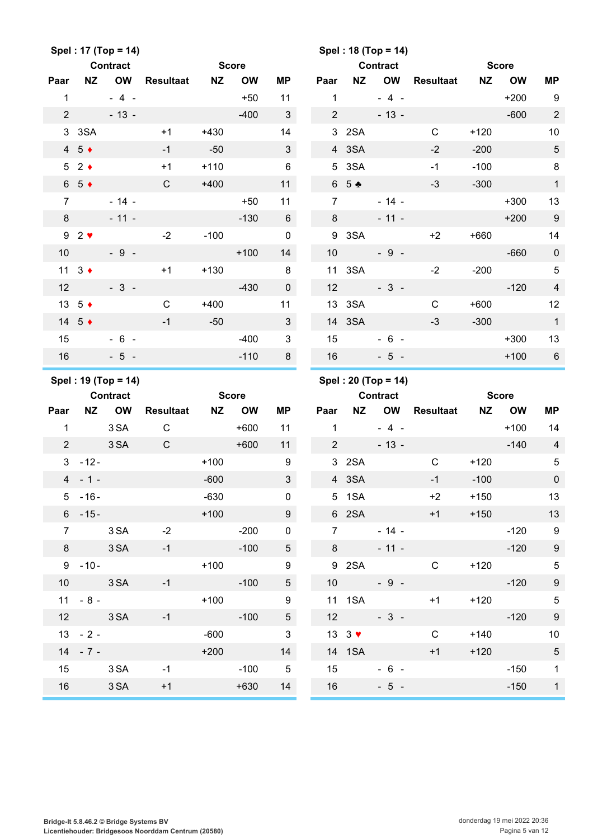|                |                            | Spel: 17 (Top = 14)                    |                  |           |              |                 |                |                                       | Spel: 18 (Top = 14)                    |                  |           |              |                            |
|----------------|----------------------------|----------------------------------------|------------------|-----------|--------------|-----------------|----------------|---------------------------------------|----------------------------------------|------------------|-----------|--------------|----------------------------|
|                |                            | <b>Contract</b>                        |                  |           | <b>Score</b> |                 |                |                                       | <b>Contract</b>                        |                  |           | <b>Score</b> |                            |
| Paar           | <b>NZ</b>                  | <b>OW</b>                              | <b>Resultaat</b> | <b>NZ</b> | <b>OW</b>    | <b>MP</b>       | Paar           | <b>NZ</b>                             | OW                                     | <b>Resultaat</b> | <b>NZ</b> | <b>OW</b>    | <b>MP</b>                  |
| $\mathbf{1}$   |                            | $-4-$                                  |                  |           | $+50$        | 11              | $\mathbf{1}$   |                                       | $-4 -$                                 |                  |           | $+200$       | 9                          |
| $\overline{2}$ |                            | $-13 -$                                |                  |           | $-400$       | $\mathbf{3}$    | $\overline{2}$ |                                       | $-13 -$                                |                  |           | $-600$       | $\overline{2}$             |
| 3 <sup>1</sup> | 3SA                        |                                        | $+1$             | $+430$    |              | 14              |                | 3 2SA                                 |                                        | $\mathsf{C}$     | $+120$    |              | 10                         |
|                | $4\quad5$ $\rightarrow$    |                                        | $-1$             | $-50$     |              | 3               |                | 4 3SA                                 |                                        | $-2$             | $-200$    |              | $\sqrt{5}$                 |
| $5^{\circ}$    | $2 \bullet$                |                                        | $+1$             | $+110$    |              | $6\phantom{1}$  |                | 5 3SA                                 |                                        | $-1$             | $-100$    |              | $\,8\,$                    |
|                | $6\quad5$ +                |                                        | $\mathsf{C}$     | $+400$    |              | 11              |                | 65 ÷                                  |                                        | $-3$             | $-300$    |              | $\mathbf{1}$               |
| $\overline{7}$ |                            | $-14 -$                                |                  |           | $+50$        | 11              | $\overline{7}$ |                                       | $-14 -$                                |                  |           | $+300$       | 13                         |
| 8              |                            | $-11 -$                                |                  |           | $-130$       | 6               | 8              |                                       | $-11 -$                                |                  |           | $+200$       | $9\,$                      |
|                | $92$ $\blacktriangleright$ |                                        | $-2$             | $-100$    |              | $\pmb{0}$       | 9              | 3SA                                   |                                        | $+2$             | $+660$    |              | 14                         |
| 10             |                            | $-9 -$                                 |                  |           | $+100$       | 14              | 10             |                                       | $-9 -$                                 |                  |           | $-660$       | $\pmb{0}$                  |
|                | 11 $3 \triangleleft$       |                                        | $+1$             | $+130$    |              | 8               |                | 11 3SA                                |                                        | $-2$             | $-200$    |              | $\sqrt{5}$                 |
| 12             |                            | $-3-$                                  |                  |           | $-430$       | $\pmb{0}$       | 12             |                                       | $-3-$                                  |                  |           | $-120$       | $\overline{4}$             |
|                | 13 $5 \div$                |                                        | $\mathsf{C}$     | $+400$    |              | 11              |                | 13 3SA                                |                                        | $\mathsf{C}$     | $+600$    |              | 12                         |
|                | 14 5 $\triangleleft$       |                                        | $-1$             | $-50$     |              | 3               |                | 14 3SA                                |                                        | $-3$             | $-300$    |              | $\mathbf{1}$               |
| 15             |                            | $-6 -$                                 |                  |           | $-400$       | 3               | 15             |                                       | $-6 -$                                 |                  |           | $+300$       | 13                         |
| 16             |                            | $-5 -$                                 |                  |           | $-110$       | 8               | 16             |                                       | $-5 -$                                 |                  |           | $+100$       | $6\phantom{1}6$            |
|                |                            |                                        |                  |           |              |                 |                |                                       |                                        |                  |           |              |                            |
|                |                            |                                        |                  |           |              |                 |                |                                       |                                        |                  |           |              |                            |
|                |                            | Spel: 19 (Top = 14)<br><b>Contract</b> |                  |           | <b>Score</b> |                 |                |                                       | Spel: 20 (Top = 14)<br><b>Contract</b> |                  |           | <b>Score</b> |                            |
| Paar           | NZ                         | <b>OW</b>                              | <b>Resultaat</b> | <b>NZ</b> | <b>OW</b>    | <b>MP</b>       | Paar           | <b>NZ</b>                             | OW                                     | <b>Resultaat</b> | <b>NZ</b> | <b>OW</b>    | МP                         |
| $\mathbf{1}$   |                            | 3 SA                                   | $\mathsf{C}$     |           | $+600$       | 11              | 1              |                                       | $-4 -$                                 |                  |           | $+100$       | 14                         |
| $\overline{2}$ |                            | 3 SA                                   | $\mathsf{C}$     |           | $+600$       | 11              | 2              |                                       | $-13 -$                                |                  |           | $-140$       | $\overline{4}$             |
| 3              | $-12-$                     |                                        |                  | $+100$    |              | 9               |                | 3 2SA                                 |                                        | $\mathsf{C}$     | $+120$    |              | $\sqrt{5}$                 |
|                | $4 - 1 -$                  |                                        |                  | $-600$    |              | $\sqrt{3}$      |                | 4 3SA                                 |                                        | $-1$             | $-100$    |              | 0                          |
|                | $5 - 16 -$                 |                                        |                  | $-630$    |              | 0               |                | 5 1SA                                 |                                        | $+2$             | $+150$    |              | 13                         |
|                | $6 - 15 -$                 |                                        |                  | $+100$    |              | 9               |                |                                       | 6 2SA 2012                             | $+1$             | $+150$    |              | 13                         |
| $\overline{7}$ |                            | 3 SA                                   | $-2$             |           | $-200$       | $\mathbf 0$     |                | $7 \quad \overline{\phantom{1}}$      | $-14 -$                                |                  |           | $-120$       | $\overline{\phantom{0}}$ 9 |
|                | 8 3 SA                     |                                        | $-1$             |           | $-100$       | 5 <sub>1</sub>  |                | $8 - 8$                               | $-11 -$                                |                  |           | $-120$       | $\boldsymbol{9}$           |
|                | $9 - 10 -$                 |                                        |                  | $+100$    |              | 9               |                |                                       | 9 2SA                                  | $\mathsf{C}$     | $+120$    |              | $\overline{5}$             |
|                |                            | 10 3 SA                                | $-1$             |           | $-100$       | 5 <sub>5</sub>  |                |                                       | $10 - 9 -$                             |                  |           | $-120$       | $9\,$                      |
|                | $11 - 8 -$                 |                                        |                  | $+100$    |              | 9               |                |                                       | 11 1SA                                 | $+1$             |           | $+120$       | $\overline{5}$             |
|                |                            | 12 3 SA                                | $-1$             |           | $-100$       | $5\overline{)}$ |                | 12                                    | $-3-$                                  |                  |           | $-120$       | $\boldsymbol{9}$           |
|                | $13 - 2 -$                 |                                        |                  | $-600$    |              | $\mathbf{3}$    |                | $13 \quad 3 \quad \blacktriangledown$ |                                        | $\mathsf{C}$     |           | $+140$       | 10                         |
|                | $14 - 7 -$                 |                                        |                  | $+200$    |              | 14              |                |                                       | 14 1SA                                 | $+1$             | $+120$    |              | $\sqrt{5}$                 |
| 15             |                            | 3 SA                                   | $-1$             |           | $-100$       | $5\phantom{0}$  |                | 15                                    | $-6 -$                                 |                  |           | $-150$       | $\mathbf{1}$               |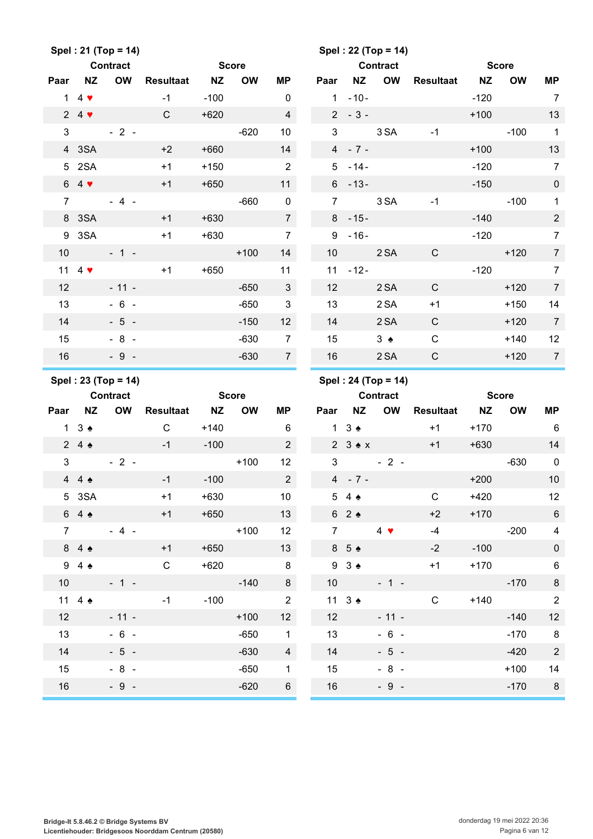|                 |                                 | Spel: 21 (Top = 14)                    |                     |              |              |                 |                |                         | Spel: 22 (Top = 14)                    |              |              |              |                          |
|-----------------|---------------------------------|----------------------------------------|---------------------|--------------|--------------|-----------------|----------------|-------------------------|----------------------------------------|--------------|--------------|--------------|--------------------------|
|                 |                                 | <b>Contract</b>                        |                     | <b>Score</b> |              |                 |                |                         | <b>Contract</b>                        |              | <b>Score</b> |              |                          |
| Paar            | <b>NZ</b>                       |                                        | <b>OW</b> Resultaat | <b>NZ</b>    | <b>OW</b>    | ΜP              | Paar           | <b>NZ</b>               | OW                                     | Resultaat    | <b>NZ</b>    | <b>OW</b>    | <b>MP</b>                |
|                 | $1\quad 4$ $\blacktriangledown$ |                                        | $-1$                | $-100$       |              | $\mathbf 0$     |                | $1 - 10 -$              |                                        |              | $-120$       |              | $\overline{7}$           |
|                 | $24$ $\blacktriangledown$       |                                        | C                   | $+620$       |              | $\overline{4}$  |                | $2 - 3 -$               |                                        |              | $+100$       |              | 13                       |
| 3 <sup>1</sup>  |                                 | $-2-$                                  |                     |              | $-620$       | 10              | 3              |                         | 3 SA                                   | $-1$         |              | $-100$       | $\overline{1}$           |
|                 | 4 3SA                           |                                        | $+2$                | $+660$       |              | 14              |                | $4 - 7 -$               |                                        |              | $+100$       |              | 13                       |
|                 | 5 2SA                           |                                        | $+1$                | $+150$       |              | 2               |                | $5 - 14 -$              |                                        |              | $-120$       |              | $\overline{7}$           |
|                 | $64$ $\blacktriangledown$       |                                        | $+1$                | $+650$       |              | 11              |                | $6 - 13 -$              |                                        |              | $-150$       |              | $\pmb{0}$                |
| $\overline{7}$  |                                 | $-4 -$                                 |                     |              | $-660$       | $\mathbf 0$     | $\overline{7}$ |                         | 3 SA                                   | $-1$         |              | $-100$       | $\mathbf{1}$             |
|                 | 8 3SA                           |                                        | $+1$                | $+630$       |              | $7\overline{ }$ |                | $8 - 15 -$              |                                        |              | $-140$       |              | $\sqrt{2}$               |
|                 | 9 3SA                           |                                        | $+1$                | $+630$       |              | $\overline{7}$  | 9              | $-16-$                  |                                        |              | $-120$       |              | $\boldsymbol{7}$         |
| 10 <sup>°</sup> |                                 | $-1 -$                                 |                     |              | $+100$       | 14              | 10             |                         | 2 SA                                   | $\mathsf{C}$ |              | $+120$       | $\boldsymbol{7}$         |
|                 | 11 4 $\blacktriangledown$       |                                        | $+1$                | $+650$       |              | 11              |                | $11 - 12 -$             |                                        |              | $-120$       |              | $\boldsymbol{7}$         |
| 12              |                                 | $-11 -$                                |                     |              | $-650$       | 3 <sup>2</sup>  | 12             |                         | 2 SA                                   | $\mathbf C$  |              | $+120$       | $\boldsymbol{7}$         |
| 13              |                                 | $-6 -$                                 |                     |              | $-650$       | $\mathbf{3}$    | 13             |                         | 2 SA                                   | $+1$         |              | $+150$       | 14                       |
| 14              |                                 | $-5 -$                                 |                     |              | $-150$       | 12              | 14             |                         | 2 SA                                   | $\mathsf{C}$ |              | $+120$       | $\boldsymbol{7}$         |
| 15              |                                 | $-8 -$                                 |                     |              | $-630$       | $\overline{7}$  | 15             |                         | $3 \triangle$                          | $\mathsf C$  |              | $+140$       | 12                       |
| 16              |                                 | $-9 -$                                 |                     |              | $-630$       | 7 <sup>7</sup>  | 16             |                         | 2 SA                                   | $\mathsf{C}$ |              | $+120$       | $\overline{7}$           |
|                 |                                 |                                        |                     |              |              |                 |                |                         |                                        |              |              |              |                          |
|                 |                                 |                                        |                     |              |              |                 |                |                         |                                        |              |              |              |                          |
|                 |                                 | Spel: 23 (Top = 14)<br><b>Contract</b> |                     |              | <b>Score</b> |                 |                |                         | Spel: 24 (Top = 14)<br><b>Contract</b> |              |              | <b>Score</b> |                          |
| Paar            | <b>NZ</b>                       |                                        | <b>OW</b> Resultaat | <b>NZ</b>    | <b>OW</b>    | ΜP              | Paar           | <b>NZ</b>               | OW                                     | Resultaat    | <b>NZ</b>    | <b>OW</b>    | MP                       |
|                 | $1 \quad 3 \Leftrightarrow$     |                                        | $\mathsf{C}$        | $+140$       |              | 6               |                | $1 \t3$ $\bullet$       |                                        | $+1$         | $+170$       |              | 6                        |
|                 | $24 \triangle$                  |                                        | $-1$                | $-100$       |              | $2^{\circ}$     |                |                         | $2 \t3 \t M \t\t x$                    | $+1$         | $+630$       |              | 14                       |
| 3               |                                 | $-2-$                                  |                     |              | $+100$       | 12              | 3              |                         | $-2-$                                  |              |              | $-630$       | $\pmb{0}$                |
|                 | 44.4                            |                                        | $-1$                | $-100$       |              | $2^{\circ}$     |                | $4 - 7 -$               |                                        |              | $+200$       |              | $10$                     |
|                 | 5 3SA                           |                                        | $+1$                | $+630$       |              | 10              |                | $5\quad 4\quad \bullet$ |                                        | C            | +420         |              | 12                       |
|                 | 64                              |                                        | $+1$                | $+650$       |              | 13              |                | 62                      |                                        | $+2$         | $+170$       |              | $\,6\,$                  |
| $\overline{7}$  |                                 | $-4 -$                                 |                     |              | $+100$       | 12              | $7^{\circ}$    |                         | $4 \bullet$                            | $-4$         |              | $-200$       | $\overline{\mathcal{A}}$ |
|                 | 84                              |                                        | $+1$                | $+650$       |              | 13              |                | 8 5 ♠                   |                                        | $-2$         | $-100$       |              | $\pmb{0}$                |
|                 | 94                              |                                        | $\mathsf C$         | $+620$       |              | 8 <sup>8</sup>  |                | $93 \triangle$          |                                        | $+1$         | $+170$       |              | $\,6$                    |
| 10 <sup>1</sup> |                                 | $-1 -$                                 |                     | <u>ana</u>   | $-140$       | 8               |                | 10                      | $-1 -$                                 |              |              | $-170$       | $\,8\,$                  |
|                 | 11 4 $\triangle$                |                                        | $-1$                | $-100$       |              | 2               |                | 11 $3 \triangleq$       |                                        | $\mathsf C$  | $+140$       |              | $\sqrt{2}$               |
| 12              |                                 | $-11 -$                                |                     |              | $+100$       | 12              | 12             |                         | $-11 -$                                |              |              | $-140$       | 12                       |
| 13              |                                 | $-6 -$                                 |                     |              | $-650$       | $\mathbf{1}$    | 13             |                         | $-6 -$                                 |              |              | $-170$       | 8                        |
| 14              |                                 | $-5 -$                                 |                     |              | $-630$       | $\overline{4}$  | 14             |                         | $-5 -$                                 |              |              | $-420$       | $\sqrt{2}$               |
| 15              |                                 | $-8 -$                                 |                     |              | $-650$       | 1               | 15             |                         | $-8 -$                                 |              |              | $+100$       | 14                       |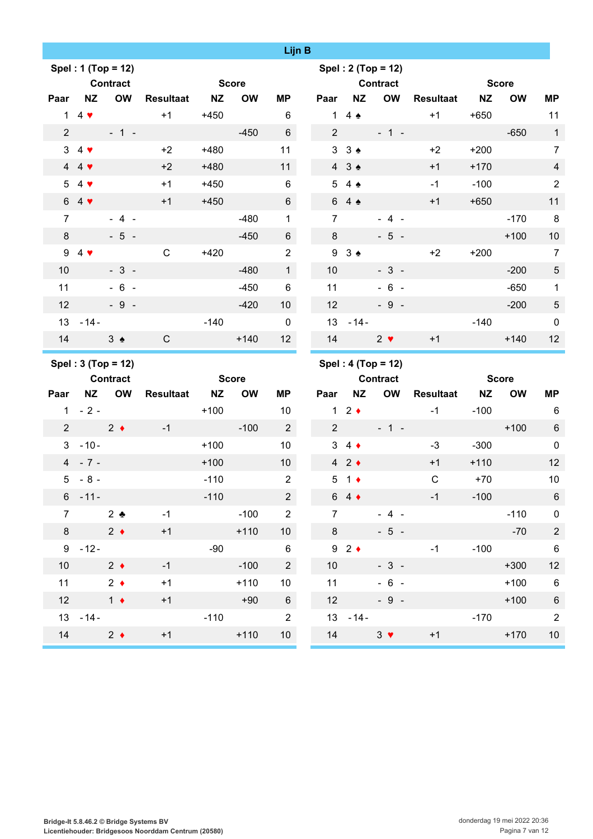|                 |                            |                    |                  |           |              | Lijn B          |                |                   |                    |                  |           |              |                  |
|-----------------|----------------------------|--------------------|------------------|-----------|--------------|-----------------|----------------|-------------------|--------------------|------------------|-----------|--------------|------------------|
|                 |                            | Spel: 1 (Top = 12) |                  |           |              |                 |                |                   | Spel: 2 (Top = 12) |                  |           |              |                  |
|                 |                            | <b>Contract</b>    |                  |           | <b>Score</b> |                 |                |                   | <b>Contract</b>    |                  |           | <b>Score</b> |                  |
| Paar            | <b>NZ</b>                  | <b>OW</b>          | <b>Resultaat</b> | <b>NZ</b> | <b>OW</b>    | <b>MP</b>       | Paar           | <b>NZ</b>         | <b>OW</b>          | <b>Resultaat</b> | <b>NZ</b> | <b>OW</b>    | <b>MP</b>        |
| $\mathbf{1}$    | $4 \cdot$                  |                    | $+1$             | $+450$    |              | 6               | 1              | $4 \triangle$     |                    | $+1$             | $+650$    |              | 11               |
| $\overline{2}$  |                            | $-1 -$             |                  |           | $-450$       | 6               | $\overline{2}$ |                   | $-1 -$             |                  |           | $-650$       | $\mathbf{1}$     |
|                 | $34$ $\blacktriangleright$ |                    | $+2$             | $+480$    |              | 11              |                | 33.4              |                    | $+2$             | $+200$    |              | $\overline{7}$   |
|                 | 44                         |                    | $+2$             | $+480$    |              | 11              |                | 43 <sub>2</sub>   |                    | $+1$             | $+170$    |              | $\overline{4}$   |
|                 | $54$ $\sqrt{ }$            |                    | $+1$             | $+450$    |              | 6               | 5 <sub>5</sub> | $4 \triangle$     |                    | $-1$             | $-100$    |              | $\overline{2}$   |
|                 | $64$ $\blacktriangledown$  |                    | $+1$             | $+450$    |              | 6               |                | 6 4 ♠             |                    | $+1$             | $+650$    |              | 11               |
| $\overline{7}$  |                            | $-4-$              |                  |           | $-480$       | $\mathbf 1$     | $\overline{7}$ |                   | $-4-$              |                  |           | $-170$       | $\,8\,$          |
| 8               |                            | $-5 -$             |                  |           | $-450$       | 6               | 8              |                   | $-5 -$             |                  |           | $+100$       | 10               |
|                 | 94                         |                    | $\mathsf{C}$     | $+420$    |              | $\overline{2}$  | 9              | $3 \triangleleft$ |                    | $+2$             | $+200$    |              | $\overline{7}$   |
| 10              |                            | $-3-$              |                  |           | $-480$       | $\mathbf{1}$    | 10             |                   | $-3-$              |                  |           | $-200$       | $\sqrt{5}$       |
| 11              |                            | $-6 -$             |                  |           | $-450$       | $\,6$           | 11             |                   | $-6 -$             |                  |           | $-650$       | $\mathbf{1}$     |
| 12              |                            | $-9 -$             |                  |           | $-420$       | 10 <sup>1</sup> | 12             |                   | $-9 -$             |                  |           | $-200$       | $\sqrt{5}$       |
| 13              | $-14-$                     |                    |                  | $-140$    |              | $\mathbf 0$     | 13             | $-14-$            |                    |                  | $-140$    |              | $\boldsymbol{0}$ |
| 14              |                            | $3 \triangle$      | $\mathsf{C}$     |           | $+140$       | 12              | 14             |                   | $2 \bullet$        | $+1$             |           | $+140$       | 12               |
|                 |                            | Spel: 3 (Top = 12) |                  |           |              |                 |                |                   | Spel: 4 (Top = 12) |                  |           |              |                  |
|                 |                            | Contract           |                  |           | <b>Score</b> |                 |                |                   | <b>Contract</b>    |                  |           | <b>Score</b> |                  |
| Paar            | NZ                         | <b>OW</b>          | <b>Resultaat</b> | <b>NZ</b> | <b>OW</b>    | <b>MP</b>       | Paar           | <b>NZ</b>         | <b>OW</b>          | <b>Resultaat</b> | <b>NZ</b> | <b>OW</b>    | <b>MP</b>        |
|                 | $1 - 2 -$                  |                    |                  | $+100$    |              | 10              |                | 12                |                    | $-1$             | $-100$    |              | 6                |
| $\overline{2}$  |                            | $2 \bullet$        | $-1$             |           | $-100$       | $\overline{2}$  | $\overline{2}$ |                   | $-1 -$             |                  |           | $+100$       | $6\phantom{1}$   |
| $\mathbf{3}$    | $-10-$                     |                    |                  | $+100$    |              | 10              |                | $3\quad 4\bullet$ |                    | $-3$             | $-300$    |              | $\mathbf 0$      |
|                 | $4 - 7 -$                  |                    |                  | $+100$    |              | 10 <sup>°</sup> |                | 42                |                    | $+1$             | $+110$    |              | 12               |
| $5\overline{)}$ | $-8-$                      |                    |                  | $-110$    |              | $\overline{2}$  |                | $5 \t1$           |                    | $\mathsf C$      | $+70$     |              | 10               |
|                 | $6 - 11 -$                 |                    |                  | $-110$    |              | $2^{\circ}$     |                | $64 \div$         |                    | $-1$             | $-100$    |              | $6\,$            |
| $\overline{7}$  |                            | $2$ $\bullet$      | $-1$             |           | $-100$       | $\overline{2}$  | $\overline{7}$ |                   | $-4-$              |                  |           | $-110$       | $\pmb{0}$        |
| $8\phantom{.}$  |                            | $2 \bullet$        | $+1$             |           | $+110$       | 10 <sup>1</sup> | 8              |                   | $-5 -$             |                  |           | $-70$        | $\sqrt{2}$       |
|                 | $9 - 12 -$                 |                    |                  | $-90$     |              | 6               |                | $92 \div$         |                    | $-1$             | $-100$    |              | $\,6\,$          |
| 10              |                            | $2 \bullet$        | $-1$             |           | $-100$       | $2^{\circ}$     | 10             |                   | $-3 -$             |                  |           | $+300$       | 12               |
| 11              |                            |                    |                  |           |              |                 |                |                   |                    |                  |           |              |                  |
|                 |                            | $2 \bullet$        | $+1$             |           | $+110$       | 10              | 11             |                   | $-6 -$             |                  |           | $+100$       | $6\phantom{1}6$  |
| 12              |                            | $1 +$              | $+1$             |           | $+90$        | $6\phantom{.}$  | 12             |                   | $-9 -$             |                  |           | $+100$       | $\,6\,$          |
|                 | $13 - 14 -$                |                    |                  | $-110$    |              | $\overline{2}$  |                | $13 - 14 -$       |                    |                  | $-170$    |              | $\sqrt{2}$       |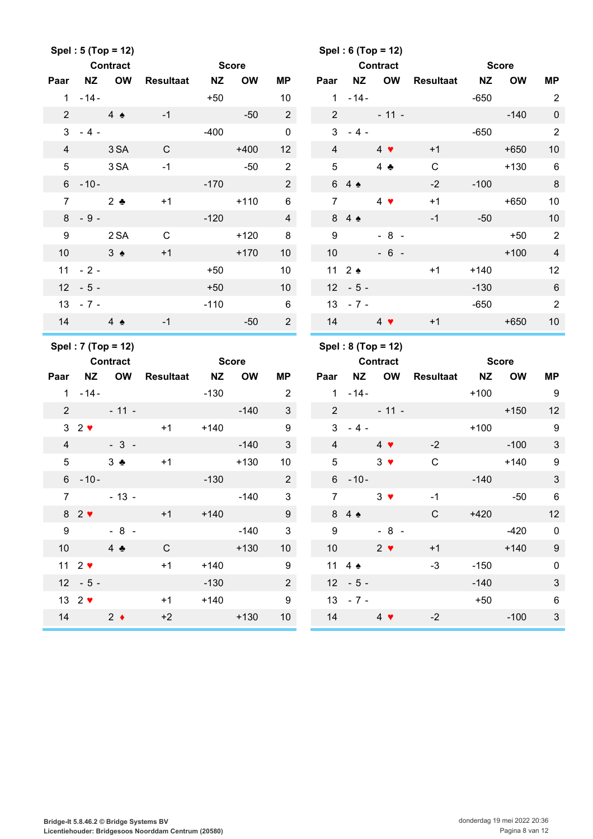|                 |                                          | Spel: 5 (Top = 12)<br><b>Contract</b> |                  | <b>Score</b> |           |                                     |                 |                                | Spel: 6 (Top = 12)<br><b>Contract</b> |              | <b>Score</b> |           |                           |
|-----------------|------------------------------------------|---------------------------------------|------------------|--------------|-----------|-------------------------------------|-----------------|--------------------------------|---------------------------------------|--------------|--------------|-----------|---------------------------|
| Paar            | <b>NZ</b>                                | <b>OW</b>                             | <b>Resultaat</b> | <b>NZ</b>    | <b>OW</b> | ΜP                                  | Paar            | <b>NZ</b>                      | OW                                    | Resultaat NZ |              | <b>OW</b> | <b>MP</b>                 |
|                 | $1 - 14 -$                               |                                       |                  | $+50$        |           | 10                                  | 1               | $-14-$                         |                                       |              | $-650$       |           | $\overline{2}$            |
| $\overline{2}$  | 4 <sub>2</sub>                           |                                       | $-1$             |              | $-50$     | $\overline{2}$                      | $2^{\circ}$     |                                | $-11 -$                               |              |              | $-140$    | $\mathbf 0$               |
|                 | $3 - 4 -$                                |                                       |                  | $-400$       |           | $\mathbf 0$                         | 3               | $-4-$                          |                                       |              | $-650$       |           | $\overline{2}$            |
| $\overline{4}$  |                                          | 3 SA                                  | C                |              | $+400$    | 12                                  | $\overline{4}$  |                                | $4 \bullet$                           | $+1$         |              | $+650$    | 10                        |
| 5 <sup>5</sup>  |                                          | 3 SA                                  | $-1$             |              | $-50$     | $\overline{2}$                      | 5               |                                | 4 $\clubsuit$                         | $\mathsf C$  |              | $+130$    | $6\phantom{1}6$           |
|                 | $6 - 10 -$                               |                                       |                  | $-170$       |           | $\overline{2}$                      |                 | $64 \triangle$                 |                                       | $-2$         | $-100$       |           | $\, 8$                    |
| $\overline{7}$  |                                          | $2 \bullet$                           | $+1$             |              | $+110$    | 6                                   | $\overline{7}$  |                                | $4 \bullet$                           | $+1$         |              | $+650$    | 10                        |
|                 | $8 - 9 -$                                |                                       |                  | $-120$       |           | $\overline{4}$                      |                 | 84                             |                                       | $-1$         | -50          |           | 10                        |
| 9               |                                          | 2 SA                                  | $\mathsf{C}$     |              | $+120$    | 8                                   | 9               |                                | $-8 -$                                |              |              | $+50$     | $\overline{2}$            |
| 10 <sup>°</sup> |                                          | $3 \triangleleft$                     | $+1$             |              | $+170$    | 10                                  | 10              |                                | $-6 -$                                |              |              | $+100$    | $\overline{4}$            |
|                 | $11 - 2 -$                               |                                       |                  | $+50$        |           | 10                                  |                 | 11 $2 \triangleleft$           |                                       | $+1$         | $+140$       |           | 12                        |
|                 | $12 - 5 -$                               |                                       |                  | $+50$        |           | 10 <sup>1</sup>                     |                 | $12 - 5 -$                     |                                       |              | $-130$       |           | $\,6\,$                   |
|                 | $13 - 7 -$                               |                                       |                  | $-110$       |           | $6\phantom{1}$                      |                 | $13 - 7 -$                     |                                       |              | $-650$       |           | $\overline{2}$            |
|                 | $14$ 4                                   |                                       | $-1$             |              | $-50$     | $\overline{2}$                      |                 | 14 $4$ $\sqrt{ }$              |                                       | $+1$         |              | $+650$    | 10                        |
|                 |                                          |                                       |                  |              |           |                                     |                 |                                |                                       |              |              |           |                           |
|                 |                                          | Spel: 7 (Top = 12)                    |                  |              |           |                                     |                 |                                | Spel: 8 (Top = 12)                    |              |              |           |                           |
|                 |                                          | <b>Contract</b>                       |                  | <b>Score</b> |           |                                     |                 |                                | <b>Contract</b>                       |              | <b>Score</b> |           |                           |
| Paar            |                                          | NZ OW                                 | Resultaat NZ     |              | <b>OW</b> | <b>MP</b>                           | Paar            | <b>NZ</b>                      | <b>OW</b>                             | Resultaat    | <b>NZ</b>    | <b>OW</b> | <b>MP</b>                 |
|                 | $1 - 14 -$                               |                                       |                  | $-130$       |           | $\overline{2}$                      |                 | $1 - 14 -$                     |                                       |              | $+100$       |           | 9                         |
| $2^{\circ}$     |                                          | $-11 -$                               |                  |              | $-140$    | 3                                   | $2^{\circ}$     |                                | $-11 -$                               |              |              | $+150$    | 12                        |
|                 | $32$ $\blacktriangleright$               |                                       | $+1$             | $+140$       |           | $\boldsymbol{9}$                    | 3               | $-4-$                          |                                       |              | $+100$       |           | $9\,$                     |
| $\overline{4}$  |                                          | $-3-$                                 |                  |              | $-140$    | 3                                   | $\overline{4}$  |                                | $4 \bullet$                           | $-2$         |              | $-100$    | $\mathbf{3}$              |
| 5               |                                          | $3 - 1$                               | $+1$             |              | $+130$    | 10                                  | $\overline{5}$  |                                | $3 \bullet$                           | $\mathsf C$  |              | $+140$    | $\boldsymbol{9}$          |
|                 | $6 - 10 -$                               |                                       |                  | $-130$       |           | $\overline{2}$                      | $6\overline{6}$ | $-10-$                         |                                       |              | $-140$       |           | $\mathbf{3}$              |
| $\overline{7}$  |                                          | $-13 -$                               |                  |              | $-140$    | 3                                   | $\overline{7}$  |                                | $3 \bullet$                           | $-1$         |              | $-50$     | $6\overline{6}$           |
|                 | $82$ $\blacktriangledown$                |                                       | $+1$             | $+140$       |           | 9                                   |                 | 84                             |                                       | $\mathsf{C}$ | $+420$       |           | 12                        |
| 9               |                                          | $-8 -$                                |                  |              | $-140$    | $\mathbf{3}$                        | 9               |                                | $-8 -$                                |              |              | $-420$    | $\overline{\mathbf{0}}$   |
| 10 <sup>1</sup> |                                          | $4 \bullet$                           | $\mathsf{C}$     |              | $+130$    | 10 <sup>°</sup>                     | 10              |                                | $2 \bullet$                           | $+1$         |              | $+140$    | $\boldsymbol{9}$          |
|                 | 11 $2$ $\blacktriangledown$              |                                       | $+1$             | $+140$       |           | 9                                   |                 | 11 4 $\bullet$                 |                                       | $-3$         | $-150$       |           | $\mathsf 0$               |
|                 | $12 - 5 -$                               |                                       |                  | $-130$       |           | $\overline{2}$                      |                 | $12 - 5 -$                     |                                       |              | $-140$       |           | $\ensuremath{\mathsf{3}}$ |
|                 | 13 $2 \blacktriangledown$<br>14 $2 \div$ |                                       | $+1$<br>$+2$     | $+140$       | $+130$    | $\boldsymbol{9}$<br>10 <sup>1</sup> |                 | $13 - 7 -$<br>14 $4$ $\bullet$ |                                       | $-2$         | $+50$        | $-100$    | $\,6$<br>$\mathfrak{S}$   |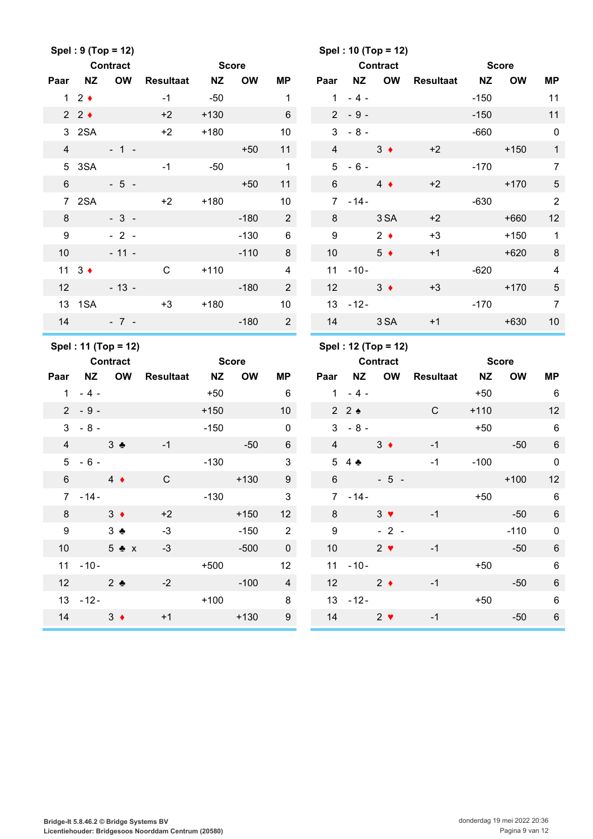|                 |                     | Spel: 9 (Top = 12)  |                  |              |           |                          |                 |                | Spel: 10 (Top = 12) |              |              |              |                         |
|-----------------|---------------------|---------------------|------------------|--------------|-----------|--------------------------|-----------------|----------------|---------------------|--------------|--------------|--------------|-------------------------|
|                 |                     | <b>Contract</b>     |                  | <b>Score</b> |           |                          |                 |                | <b>Contract</b>     |              | <b>Score</b> |              |                         |
| Paar            | <b>NZ</b>           | <b>OW</b>           | <b>Resultaat</b> | <b>NZ</b>    | <b>OW</b> | <b>MP</b>                | Paar            | <b>NZ</b>      | OW                  | Resultaat NZ |              | <b>OW</b>    | <b>MP</b>               |
|                 | $1 \quad 2 \bullet$ |                     | $-1$             | $-50$        |           | $\mathbf{1}$             | 1               | $-4-$          |                     |              | $-150$       |              | 11                      |
|                 | $2 \cdot 2 \cdot$   |                     | $+2$             | $+130$       |           | 6                        |                 | $2 - 9 -$      |                     |              | $-150$       |              | 11                      |
| 3 <sup>1</sup>  | 2SA                 |                     | $+2$             | $+180$       |           | 10                       | 3               | $-8-$          |                     |              | $-660$       |              | $\mathbf 0$             |
| $\overline{4}$  |                     | $-1 -$              |                  |              | $+50$     | 11                       | $\overline{4}$  |                | $3 \bullet$         | $+2$         |              | $+150$       | $\mathbf{1}$            |
| 5               | 3SA                 |                     | $-1$             | $-50$        |           | $\mathbf{1}$             | 5               | $-6-$          |                     |              | $-170$       |              | $\overline{7}$          |
| $6\phantom{1}$  |                     | $-5 -$              |                  |              | $+50$     | 11                       | $6\phantom{1}$  |                | $4 \bullet$         | $+2$         |              | $+170$       | $\sqrt{5}$              |
|                 | 7 2SA               |                     | $+2$             | $+180$       |           | 10                       | $7^{\circ}$     | $-14-$         |                     |              | $-630$       |              | $\overline{2}$          |
| 8               |                     | $-3-$               |                  |              | $-180$    | $\overline{2}$           | 8               |                | 3 SA                | $+2$         |              | $+660$       | 12                      |
| 9               |                     | $-2-$               |                  |              | $-130$    | $\,6\,$                  | 9               |                | $2 \bullet$         | $+3$         |              | $+150$       | $\overline{1}$          |
| 10 <sup>1</sup> |                     | $-11 -$             |                  |              | $-110$    | 8                        | 10              |                | $5 \bullet$         | $+1$         |              | $+620$       | $\,8\,$                 |
|                 | 11 $3 \div$         |                     | $\mathsf{C}$     | $+110$       |           | $\overline{4}$           |                 | $11 - 10 -$    |                     |              | $-620$       |              | $\overline{\mathbf{4}}$ |
| 12              |                     | $-13 -$             |                  |              | $-180$    | $\overline{2}$           | 12              |                | $3 +$               | $+3$         |              | $+170$       | $\sqrt{5}$              |
|                 | 13 1SA              |                     | $+3$             | $+180$       |           | 10                       |                 | $13 - 12 -$    |                     |              | $-170$       |              | $\overline{7}$          |
| 14              |                     | $-7 -$              |                  |              | $-180$    | $2^{\circ}$              | 14              |                | 3 SA                | $+1$         |              | $+630$       | 10                      |
|                 |                     |                     |                  |              |           |                          |                 |                |                     |              |              |              |                         |
|                 |                     | Spel: 11 (Top = 12) |                  |              |           |                          |                 |                | Spel: 12 (Top = 12) |              |              |              |                         |
|                 |                     | <b>Contract</b>     |                  | <b>Score</b> |           |                          |                 |                | <b>Contract</b>     |              |              | <b>Score</b> |                         |
| Paar            | <b>NZ</b>           | <b>OW</b>           | <b>Resultaat</b> | <b>NZ</b>    | <b>OW</b> | MР                       | Paar            |                | NZ OW               | Resultaat NZ |              | <b>OW</b>    | MP                      |
| $\mathbf{1}$    | $-4-$               |                     |                  | $+50$        |           | 6                        |                 | $1 - 4 -$      |                     |              | $+50$        |              | 6                       |
|                 | $2 - 9 -$           |                     |                  | $+150$       |           | 10 <sup>°</sup>          |                 | $2 \cdot 2$    |                     | $\mathsf{C}$ | $+110$       |              | 12                      |
| $\mathbf{3}$    | $-8-$               |                     |                  | $-150$       |           | $\mathbf 0$              |                 | $3 - 8 -$      |                     |              | $+50$        |              | 6                       |
| $\overline{4}$  | $3 \bullet$         |                     | $-1$             |              | $-50$     | 6                        | $\overline{4}$  |                | $3 \bullet$         | $-1$         |              | $-50$        | 6                       |
|                 | $5 - 6 -$           |                     |                  | $-130$       |           | $\mathbf{3}$             | 5               | $4 \triangle$  |                     | $-1$         | $-100$       |              | $\mathbf 0$             |
| $6\overline{6}$ |                     | $4 \bullet$         | $\mathsf C$      |              | $+130$    | $\boldsymbol{9}$         | $6\overline{6}$ |                | $-5 -$              |              |              | $+100$       | 12                      |
|                 | $7 - 14 -$          |                     |                  | $-130$       |           | $\sqrt{3}$               |                 | $7 - 14 -$     |                     |              | $+50$        |              | 6                       |
| 8               |                     | $3 +$               | $+2$             |              | $+150$    | 12                       | 8               |                | $3 \bullet$         | $-1$         |              | $-50$        | $\,6\,$                 |
| 9               |                     | $3 \bullet$         | $-3$             |              | $-150$    | $\overline{\phantom{a}}$ | 9               |                | $-2-$               |              |              | $-110$       | $\pmb{0}$               |
| 10 <sup>1</sup> |                     | $5 \bullet x$       | $-3$             |              | $-500$    | $\mathbf 0$              | 10 <sup>°</sup> |                | $2 \bullet$         | $-1$         |              | $-50$        | $\,6\,$                 |
|                 | $11 - 10 -$         |                     |                  | $+500$       |           | 12                       |                 | $11 - 10 -$    |                     |              | $+50$        |              | $\,6$                   |
|                 | 12 $2$ $\bullet$    |                     | $-2$             |              | $-100$    | $\overline{4}$           |                 | 12 $2 \bullet$ |                     | $-1$         |              | $-50$        | $\,6\,$                 |
|                 | $13 - 12 -$         |                     |                  | $+100$       |           | 8                        |                 | $13 - 12 -$    |                     |              | $+50$        |              | $6\phantom{1}6$         |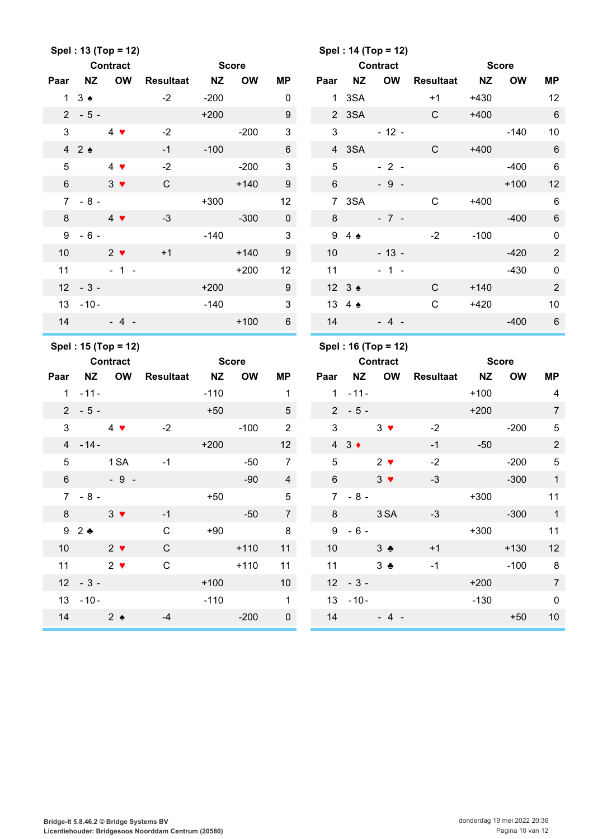|                 |                      | Spel: 13 (Top = 12)                    |                  |              |           |                  |                 |                         | Spel: 14 (Top = 12)                    |              |              |              |                 |
|-----------------|----------------------|----------------------------------------|------------------|--------------|-----------|------------------|-----------------|-------------------------|----------------------------------------|--------------|--------------|--------------|-----------------|
|                 |                      | <b>Contract</b>                        |                  | <b>Score</b> |           |                  |                 |                         | <b>Contract</b>                        |              | <b>Score</b> |              |                 |
| Paar            | <b>NZ</b>            | <b>OW</b>                              | Resultaat NZ     |              | <b>OW</b> | MР               | Paar            | NZ                      | OW                                     | Resultaat NZ |              | <b>OW</b>    | MP              |
|                 | 13.4                 |                                        | $-2$             | $-200$       |           | $\pmb{0}$        |                 | 1 3SA                   |                                        | $+1$         | $+430$       |              | 12              |
|                 | $2 - 5 -$            |                                        |                  | $+200$       |           | 9                |                 | 2 3SA                   |                                        | C            | $+400$       |              | $\,6\,$         |
| $\mathfrak{S}$  |                      | $4 \bullet$                            | $-2$             |              | $-200$    | $\mathfrak{S}$   | 3               |                         | $-12 -$                                |              |              | $-140$       | 10              |
|                 | 42                   |                                        | $-1$             | $-100$       |           | $\,6\,$          |                 | 4 3SA                   |                                        | $\mathsf{C}$ | $+400$       |              | $\,6\,$         |
| 5               |                      | $4 \bullet$                            | $-2$             |              | $-200$    | 3                | 5               |                         | $-2-$                                  |              |              | $-400$       | $\,6\,$         |
| $6\phantom{.}$  |                      | $3 \bullet$                            | $\mathsf{C}$     |              | $+140$    | 9                | $6\overline{6}$ |                         | $-9 -$                                 |              |              | $+100$       | 12              |
|                 | $7 - 8 -$            |                                        |                  | $+300$       |           | 12               |                 | 7 3SA                   |                                        | $\mathsf C$  | $+400$       |              | $6\phantom{1}6$ |
| 8               |                      | $4 \bullet$                            | $-3$             |              | $-300$    | $\mathbf 0$      | 8               |                         | $-7 -$                                 |              |              | $-400$       | $6\phantom{1}6$ |
| 9               | $-6-$                |                                        |                  | $-140$       |           | $\mathfrak{S}$   |                 | $94 \triangle$          |                                        | $-2$         | $-100$       |              | $\mathbf 0$     |
| 10              |                      | $2 \bullet$                            | $+1$             |              | $+140$    | $\boldsymbol{9}$ | 10              |                         | $-13 -$                                |              |              | $-420$       | $\sqrt{2}$      |
| 11              |                      | $-1 -$                                 |                  |              | $+200$    | 12               | 11              |                         | $-1 -$                                 |              |              | $-430$       | $\pmb{0}$       |
|                 | $12 - 3 -$           |                                        |                  | $+200$       |           | 9                |                 | $12 \quad 3 \spadesuit$ |                                        | $\mathsf{C}$ | $+140$       |              | $\overline{2}$  |
|                 | $13 - 10 -$          |                                        |                  | $-140$       |           | $\mathfrak{S}$   |                 | 13 4 4                  |                                        | $\mathbf C$  | $+420$       |              | 10              |
| 14              |                      | $-4$ -                                 |                  |              | $+100$    | $6\phantom{1}$   | 14              |                         | $-4 -$                                 |              |              | $-400$       | $6\phantom{1}6$ |
|                 |                      |                                        |                  |              |           |                  |                 |                         |                                        |              |              |              |                 |
|                 |                      |                                        |                  |              |           |                  |                 |                         |                                        |              |              |              |                 |
|                 |                      | Spel: 15 (Top = 12)<br><b>Contract</b> |                  | <b>Score</b> |           |                  |                 |                         | Spel: 16 (Top = 12)<br><b>Contract</b> |              |              | <b>Score</b> |                 |
| Paar            | <b>NZ</b>            | <b>OW</b>                              | <b>Resultaat</b> | <b>NZ</b>    | <b>OW</b> | <b>MP</b>        | Paar            | <b>NZ</b>               | OW                                     | Resultaat NZ |              | <b>OW</b>    | MP              |
| $\mathbf{1}$    | $-11-$               |                                        |                  | $-110$       |           | $\mathbf{1}$     |                 | $-11-$<br>1             |                                        |              | $+100$       |              | 4               |
|                 | $2 - 5 -$            |                                        |                  | $+50$        |           | 5                |                 | $2 - 5 -$               |                                        |              | $+200$       |              | $\overline{7}$  |
| 3               |                      | $4 \bullet$                            | $-2$             |              | $-100$    | $\overline{2}$   | 3               |                         | $3 \bullet$                            | $-2$         |              | $-200$       | $\sqrt{5}$      |
|                 | $4 - 14 -$           |                                        |                  | $+200$       |           | 12               |                 | $4 \quad 3 \bullet$     |                                        | $-1$         | $-50$        |              | $\overline{2}$  |
| 5               |                      | 1 SA                                   | $-1$             |              | $-50$     | $\overline{7}$   | $\overline{5}$  |                         | $2 \bullet$                            | $-2$         |              | $-200$       | $\sqrt{5}$      |
| $6\phantom{1}$  |                      | $-9-$                                  |                  |              | $-90$     | $\overline{4}$   | 6               |                         | $3 \bullet$                            | $-3$         |              | $-300$       | $\mathbf{1}$    |
|                 | $7 - 8 -$            |                                        |                  | $+50$        |           | 5                |                 | $7 - 8 -$               |                                        |              | $+300$       |              | 11              |
|                 | $8 \t3$ $\sqrt{ }$   |                                        | $-1$             |              | $-50$     | $\overline{7}$   |                 |                         | 8 3 SA                                 | $-3$         |              | $-300$       | $\overline{1}$  |
|                 | $9\quad 2 \div$      |                                        | $\mathsf{C}$     | $+90$        |           | 8 <sup>8</sup>   |                 | $9 - 6 -$               |                                        |              |              | $+300$       | 11              |
| 10 <sup>1</sup> | $2 \sqrt{ }$         |                                        | $\mathsf C$      |              | $+110$    | 11               |                 | 10 $3$ $\bullet$        |                                        | $+1$         |              | $+130$       | 12              |
|                 | 11 $2 \sqrt{ }$      |                                        | $\mathsf C$      |              | $+110$    | 11               |                 | 11                      | $3 - 1$                                | $-1$         |              | $-100$       | 8 <sup>8</sup>  |
|                 | $12 - 3 -$           |                                        |                  | $+100$       |           | 10 <sup>1</sup>  |                 | $12 - 3 -$              |                                        |              | $+200$       |              | $\overline{7}$  |
|                 | $13 - 10 -$          |                                        |                  | $-110$       |           | $\mathbf{1}$     |                 | $13 - 10 -$             |                                        |              | $-130$       |              | $\pmb{0}$       |
|                 | 14 $2 \triangleleft$ |                                        | $-4$             |              | $-200$    | $\pmb{0}$        |                 |                         | $14 - 4 -$                             |              |              | $+50$        | $10$            |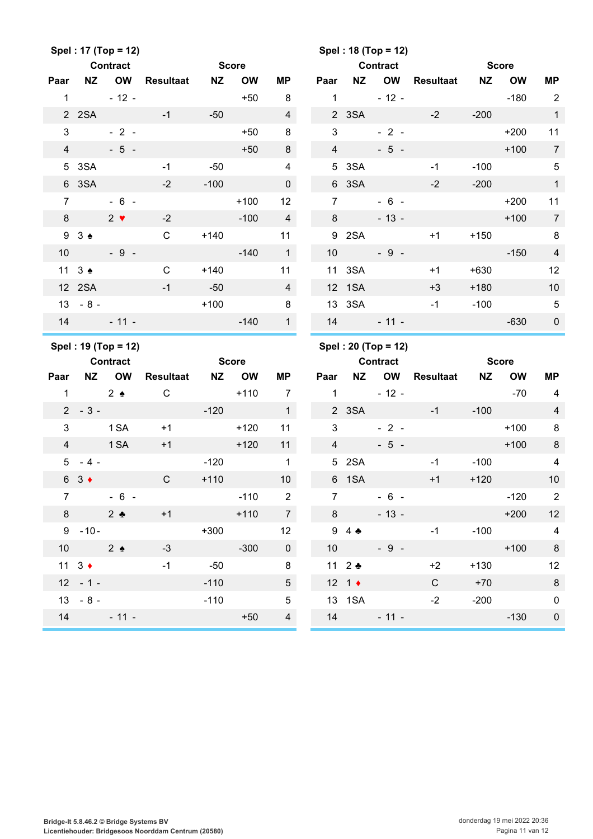|                  |                      | Spel: 17 (Top = 12)             |                  |           |              |                |                 |                          | Spel: 18 (Top = 12)                    |                  |           |              |                          |
|------------------|----------------------|---------------------------------|------------------|-----------|--------------|----------------|-----------------|--------------------------|----------------------------------------|------------------|-----------|--------------|--------------------------|
|                  |                      | <b>Contract</b>                 |                  |           | <b>Score</b> |                |                 |                          | <b>Contract</b>                        |                  |           | <b>Score</b> |                          |
| Paar             | <b>NZ</b>            | <b>OW</b>                       | <b>Resultaat</b> | <b>NZ</b> | <b>OW</b>    | <b>MP</b>      | Paar            | <b>NZ</b>                | OW                                     | <b>Resultaat</b> | <b>NZ</b> | <b>OW</b>    | <b>MP</b>                |
| $\mathbf{1}$     |                      | $-12 -$                         |                  |           | $+50$        | 8              | $\mathbf{1}$    |                          | $-12 -$                                |                  |           | $-180$       | 2                        |
|                  | 2 2SA                |                                 | $-1$             | $-50$     |              | $\overline{4}$ |                 | 2 3SA                    |                                        | $-2$             | $-200$    |              | $\mathbf{1}$             |
| 3                |                      | $-2-$                           |                  |           | $+50$        | 8              | 3               |                          | $-2 -$                                 |                  |           | $+200$       | 11                       |
| $\overline{4}$   |                      | $-5 -$                          |                  |           | $+50$        | 8              | $\overline{4}$  |                          | $-5 -$                                 |                  |           | $+100$       | $\overline{7}$           |
| 5                | 3SA                  |                                 | $-1$             | $-50$     |              | $\overline{4}$ | 5               | 3SA                      |                                        | $-1$             | $-100$    |              | $\sqrt{5}$               |
|                  | 6 3SA                |                                 | $-2$             | $-100$    |              | $\mathbf 0$    |                 | 6 3SA                    |                                        | $-2$             | $-200$    |              | $\overline{1}$           |
| $\overline{7}$   |                      | $-6 -$                          |                  |           | $+100$       | 12             | $\overline{7}$  |                          | $-6 -$                                 |                  |           | $+200$       | 11                       |
| 8                |                      | $2 \bullet$                     | $-2$             |           | $-100$       | $\overline{4}$ | 8               |                          | $-13 -$                                |                  |           | $+100$       | $\overline{7}$           |
|                  | $93 \triangle$       |                                 | $\mathbf C$      | $+140$    |              | 11             |                 | 9<br>2SA                 |                                        | $+1$             | $+150$    |              | $\, 8$                   |
| 10               |                      | $-9 -$                          |                  |           | $-140$       | $\mathbf{1}$   | 10              |                          | $-9 -$                                 |                  |           | $-150$       | $\overline{4}$           |
|                  | 11 $3 \triangleq$    |                                 | $\mathsf{C}$     | $+140$    |              | 11             |                 | 11 3SA                   |                                        | $+1$             | $+630$    |              | 12                       |
|                  | 12 2SA               |                                 | $-1$             | $-50$     |              | $\overline{4}$ |                 | 12 1SA                   |                                        | $+3$             | $+180$    |              | 10                       |
| 13 <sup>13</sup> | $-8-$                |                                 |                  | $+100$    |              | $\bf 8$        |                 | 13 3SA                   |                                        | $-1$             | $-100$    |              | $\sqrt{5}$               |
| 14               |                      | $-11 -$                         |                  |           | $-140$       | $\mathbf{1}$   | 14              |                          | $-11 -$                                |                  |           | $-630$       | $\pmb{0}$                |
|                  |                      |                                 |                  |           |              |                |                 |                          |                                        |                  |           |              |                          |
|                  |                      |                                 |                  |           |              |                |                 |                          |                                        |                  |           |              |                          |
|                  |                      | Spel: 19 (Top = 12)<br>Contract |                  |           | <b>Score</b> |                |                 |                          | Spel: 20 (Top = 12)<br><b>Contract</b> |                  |           | <b>Score</b> |                          |
| Paar             | <b>NZ</b>            | <b>OW</b>                       | <b>Resultaat</b> | <b>NZ</b> | <b>OW</b>    | <b>MP</b>      | Paar            | <b>NZ</b>                | OW                                     | <b>Resultaat</b> | <b>NZ</b> | <b>OW</b>    | <b>MP</b>                |
| $\mathbf 1$      |                      | $2 \bullet$                     | $\mathsf C$      |           | $+110$       | $\overline{7}$ | $\mathbf{1}$    |                          | $-12 -$                                |                  |           | $-70$        | 4                        |
|                  | $2 - 3 -$            |                                 |                  | $-120$    |              | $\overline{1}$ |                 | 2 3SA                    |                                        | $-1$             | $-100$    |              | $\overline{4}$           |
| 3                |                      | 1 <sub>SA</sub>                 | $+1$             |           | $+120$       | 11             | 3               |                          | $-2-$                                  |                  |           | $+100$       | 8                        |
| $\overline{4}$   |                      | 1 SA                            | $+1$             |           | $+120$       | 11             | $\overline{4}$  |                          | $-5 -$                                 |                  |           | $+100$       | $\,8\,$                  |
| 5                | $-4-$                |                                 |                  | $-120$    |              | $\mathbf{1}$   | $5\overline{)}$ | 2SA                      |                                        | $-1$             | $-100$    |              | $\overline{4}$           |
| 6                | $3 \bullet$          |                                 | $\mathbf C$      | $+110$    |              | 10             |                 | 6 1SA                    |                                        | $+1$             | $+120$    |              | 10                       |
| $\overline{7}$   |                      | $-6-$                           |                  |           | $-110$       | $\overline{2}$ | $\overline{7}$  |                          | $-6 -$                                 |                  |           | $-120$       | $\overline{\phantom{a}}$ |
| 8 <sup>°</sup>   |                      | $2^{\bullet}$                   | $+1$             |           | $+110$       | $\overline{7}$ | 8               |                          | $-13-$                                 |                  |           | $+200$       | 12                       |
|                  | $9 - 10 -$           |                                 |                  | $+300$    |              | 12             |                 | $9\quad 4 \cdot \bullet$ |                                        | $-1$             | $-100$    |              | $\overline{4}$           |
|                  | 10 $2 \triangleleft$ |                                 | $-3$             |           | $-300$       | $\overline{0}$ |                 | 10                       | $-9 -$                                 |                  |           | $+100$       | 8                        |
|                  | $11 \quad 3 \bullet$ |                                 | $-1$             | $-50$     |              | 8              |                 | 11 $2$ $\bullet$         |                                        | $+2$             | $+130$    |              | 12                       |
|                  | $12 - 1 -$           |                                 |                  | $-110$    |              | 5 <sup>5</sup> |                 | 12 1 $\bullet$           |                                        | $\mathsf{C}$     | $+70$     |              | $\,$ 8 $\,$              |
|                  | $13 - 8 -$           |                                 |                  | $-110$    |              | $\sqrt{5}$     |                 | 13 1SA                   |                                        | $-2$             | $-200$    |              | $\boldsymbol{0}$         |